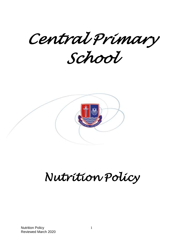*Central Primary School* 



# *Nutrition Policy*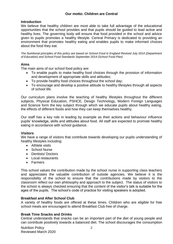## **Introduction**

We believe that healthy children are most able to take full advantage of the educational opportunities that the school provides and that pupils should be guided to lead active and healthy lives. The governing body will ensure that food provided in the school and advice given to pupils promotes a healthy lifestyle. Central Primary is dedicated to providing an environment that promotes healthy eating and enables pupils to make informed choices about the food they eat.

*The Nutritional principles of this policy are based on School Food in England Revised July 2014 (Department of Education) and School Food Standards September 2014 (School Food Plan)*

# **Aims**

The main aims of our school food policy are:

- To enable pupils to make healthy food choices through the provision of information and development of appropriate skills and attitudes;
- To provide healthy food choices throughout the school day;
- To encourage and develop a positive attitude to healthy lifestyles through all aspects of school life.

Our curriculum plans involve the teaching of healthy lifestyles throughout the different subjects. Physical Education, PSHCE, Design Technology, Modern Foreign Languages and Science form the key subject through which we educate pupils about healthy eating, the effects of different foods and how they can keep themselves healthy.

Our staff has a key role in leading by example as their actions and behaviour influence pupils' knowledge, skills and attitudes about food. All staff are expected to promote healthy eating in accordance with school guidance.

#### **Visitors**

We have a range of visitors that contribute towards developing our pupils understanding of healthy lifestyles including:

- Athlete visits
- School Nurse
- Dentists/Doctors
- Local restaurants
- Farmers

This school values the contribution made by the school nurse in supporting class teachers and appreciates the valuable contribution of outside agencies. We believe it is the responsibility of the school to ensure that the contributions made by visitors to the classroom reflect our own philosophy and approach to the subject. The status of visitors to the school is always checked ensuring that the content of the visitor's talk is suitable for the ages of the pupils. The school's code of practice for visiting speakers is adopted.

#### **Breakfast and After School Club**

A variety of healthy foods are offered at these times. Children who are eligible for free school meals are encouraged to attend Breakfast Club free of charge.

# **Break Time Snacks and Drinks**

Central understands that snacks can be an important part of the diet of young people and can contribute positively towards a balanced diet. The school discourages the consumption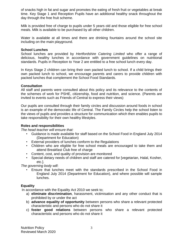of snacks high in fat and sugar and promotes the eating of fresh fruit or vegetables at break time. Key Stage 1 and Reception Pupils have an additional healthy snack throughout the day through the free fruit scheme.

Milk is provided free of charge to pupils under 5 years old and those eligible for free school meals. Milk is available to be purchased by all other children.

Water is available at all times and there are drinking fountains around the school site including on the main playground.

#### **School Lunches**

School lunches are provided by *Hertfordshire Catering Limited* who offer a range of delicious, healthy lunches in accordance with government guidelines on nutritional standards. Pupils in Reception to Year 2 are entitled to a free school lunch every day.

In Keys Stage 2 children can bring their own packed lunch to school. If a child brings their own packed lunch to school, we encourage parents and carers to provide children with packed lunches that complement the School Food Standards.

#### **Consultation**

All staff and parents were consulted about this policy and its relevance to the contents of the schemes of work for PSHE, citizenship, food and nutrition, and science. (Parents are invited to events such as Friends of Central to express their views)

Our pupils are consulted through their family circles and discussion around foods in school is an example of the democratic life of Central. The Family Circles help the school listen to the views of pupils and provides a structure for communication which then enables pupils to take responsibility for their own healthy lifestyles.

#### **Roles and responsibilities**

*The head teacher will ensure that:*

- Guidance is made available for staff based on the School Food in England July 2014 (Department for Education)
- External providers of lunches conform to the Regulations
- Children who are eligible for free school meals are encouraged to take them and attend Breakfast Club free of charge
- Content, cost, and quality of provision are monitored
- Special dietary needs of children and staff are catered for [vegetarian, Halal, Kosher, etc.].

*The governing body will*:

• Ensure that lunches meet with the standards prescribed in the School Food in England July 2014 (Department for Education), and where possible will sample lunches.

#### **Equality**

In accordance with the Equality Act 2010 we seek to;

- a) **eliminate discrimination**, harassment, victimisation and any other conduct that is prohibited by or under the act
- b) **advance equality of opportunity** between persons who share a relevant protected characteristic and persons who do not share it
- c) **foster good relations** between persons who share a relevant protected characteristic and persons who do not share it